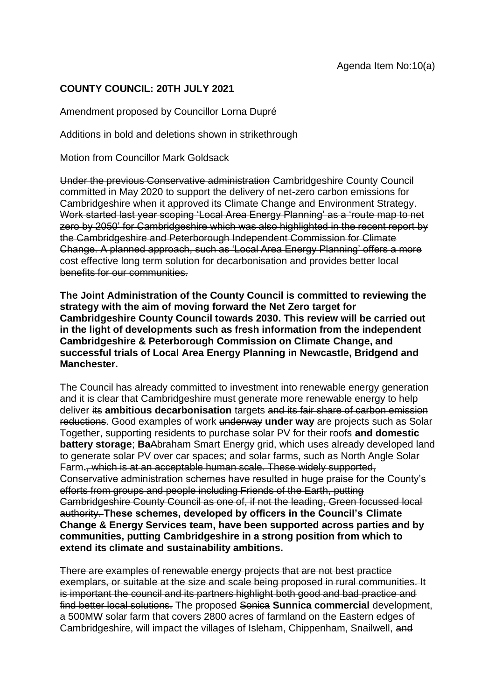## **COUNTY COUNCIL: 20TH JULY 2021**

Amendment proposed by Councillor Lorna Dupré

Additions in bold and deletions shown in strikethrough

Motion from Councillor Mark Goldsack

Under the previous Conservative administration Cambridgeshire County Council committed in May 2020 to support the delivery of net-zero carbon emissions for Cambridgeshire when it approved its Climate Change and Environment Strategy. Work started last year scoping 'Local Area Energy Planning' as a 'route map to net zero by 2050' for Cambridgeshire which was also highlighted in the recent report by the Cambridgeshire and Peterborough Independent Commission for Climate Change. A planned approach, such as 'Local Area Energy Planning' offers a more cost effective long term solution for decarbonisation and provides better local benefits for our communities.

**The Joint Administration of the County Council is committed to reviewing the strategy with the aim of moving forward the Net Zero target for Cambridgeshire County Council towards 2030. This review will be carried out in the light of developments such as fresh information from the independent Cambridgeshire & Peterborough Commission on Climate Change, and successful trials of Local Area Energy Planning in Newcastle, Bridgend and Manchester.**

The Council has already committed to investment into renewable energy generation and it is clear that Cambridgeshire must generate more renewable energy to help deliver its **ambitious decarbonisation** targets and its fair share of carbon emission reductions. Good examples of work underway **under way** are projects such as Solar Together, supporting residents to purchase solar PV for their roofs **and domestic battery storage**; **Ba**Abraham Smart Energy grid, which uses already developed land to generate solar PV over car spaces; and solar farms, such as North Angle Solar Farm**.**, which is at an acceptable human scale. These widely supported, Conservative administration schemes have resulted in huge praise for the County's efforts from groups and people including Friends of the Earth, putting Cambridgeshire County Council as one of, if not the leading, Green focussed local authority. **These schemes, developed by officers in the Council's Climate Change & Energy Services team, have been supported across parties and by communities, putting Cambridgeshire in a strong position from which to extend its climate and sustainability ambitions.**

There are examples of renewable energy projects that are not best practice exemplars, or suitable at the size and scale being proposed in rural communities. It is important the council and its partners highlight both good and bad practice and find better local solutions. The proposed Sonica **Sunnica commercial** development, a 500MW solar farm that covers 2800 acres of farmland on the Eastern edges of Cambridgeshire, will impact the villages of Isleham, Chippenham, Snailwell, and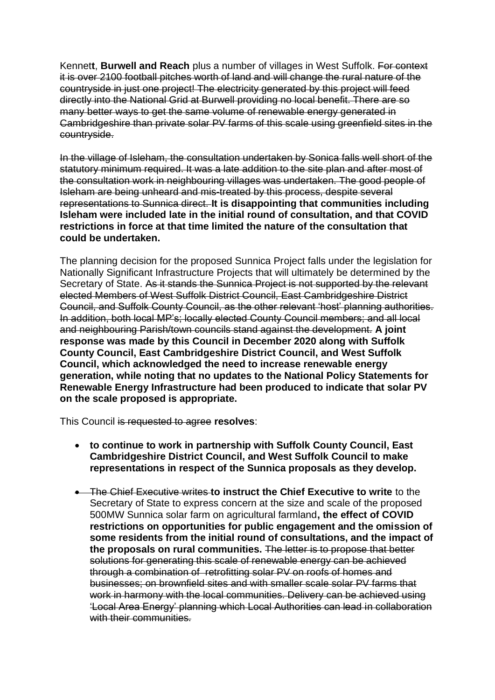Kennet**t**, **Burwell and Reach** plus a number of villages in West Suffolk. For context it is over 2100 football pitches worth of land and will change the rural nature of the countryside in just one project! The electricity generated by this project will feed directly into the National Grid at Burwell providing no local benefit. There are so many better ways to get the same volume of renewable energy generated in Cambridgeshire than private solar PV farms of this scale using greenfield sites in the countryside.

In the village of Isleham, the consultation undertaken by Sonica falls well short of the statutory minimum required. It was a late addition to the site plan and after most of the consultation work in neighbouring villages was undertaken. The good people of Isleham are being unheard and mis-treated by this process, despite several representations to Sunnica direct. **It is disappointing that communities including Isleham were included late in the initial round of consultation, and that COVID restrictions in force at that time limited the nature of the consultation that could be undertaken.** 

The planning decision for the proposed Sunnica Project falls under the legislation for Nationally Significant Infrastructure Projects that will ultimately be determined by the Secretary of State. As it stands the Sunnica Project is not supported by the relevant elected Members of West Suffolk District Council, East Cambridgeshire District Council, and Suffolk County Council, as the other relevant 'host' planning authorities. In addition, both local MP's; locally elected County Council members; and all local and neighbouring Parish/town councils stand against the development. **A joint response was made by this Council in December 2020 along with Suffolk County Council, East Cambridgeshire District Council, and West Suffolk Council, which acknowledged the need to increase renewable energy generation, while noting that no updates to the National Policy Statements for Renewable Energy Infrastructure had been produced to indicate that solar PV on the scale proposed is appropriate.**

This Council is requested to agree **resolves**:

- **to continue to work in partnership with Suffolk County Council, East Cambridgeshire District Council, and West Suffolk Council to make representations in respect of the Sunnica proposals as they develop.**
- The Chief Executive writes **to instruct the Chief Executive to write** to the Secretary of State to express concern at the size and scale of the proposed 500MW Sunnica solar farm on agricultural farmland**, the effect of COVID restrictions on opportunities for public engagement and the omission of some residents from the initial round of consultations, and the impact of the proposals on rural communities.** The letter is to propose that better solutions for generating this scale of renewable energy can be achieved through a combination of retrofitting solar PV on roofs of homes and businesses; on brownfield sites and with smaller scale solar PV farms that work in harmony with the local communities. Delivery can be achieved using 'Local Area Energy' planning which Local Authorities can lead in collaboration with their communities.